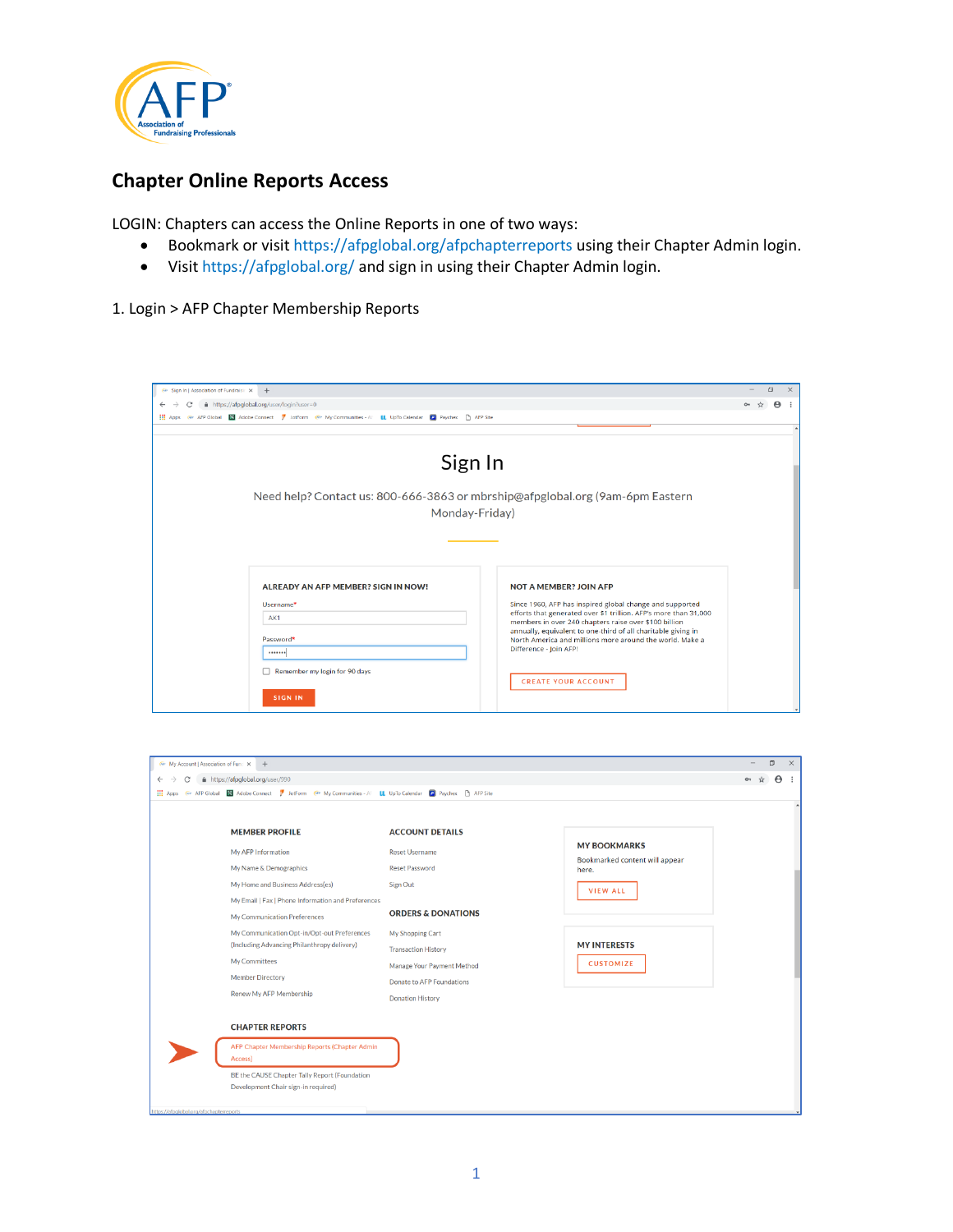

## **Chapter Online Reports Access**

LOGIN: Chapters can access the Online Reports in one of two ways:

- Bookmark or visit https://afpglobal.org/afpchapterreports using their Chapter Admin login.
- Visit https://afpglobal.org/ and sign in using their Chapter Admin login.

## 1. Login > AFP Chapter Membership Reports

| Θ<br>A https://afpglobal.org/user/login?user=0<br>Θ<br>$\leftarrow$<br>Apps Gir AFP Global ES Adobe Connect 7 JotForm Gir My Communities - Al LL UpTo Calendar 2 Paychex   AFP Site<br>Sign In<br>Need help? Contact us: 800-666-3863 or mbrship@afpglobal.org (9am-6pm Eastern<br>Monday-Friday)<br>ALREADY AN AFP MEMBER? SIGN IN NOW!<br><b>NOT A MEMBER? JOIN AFP</b><br>Since 1960, AFP has inspired global change and supported<br>Username*<br>efforts that generated over \$1 trillion. AFP's more than 31,000<br>AK1<br>members in over 240 chapters raise over \$100 billion<br>annually, equivalent to one-third of all charitable giving in<br>Password*<br>North America and millions more around the world. Make a<br>Difference - Join AFP!<br><br>Remember my login for 90 days<br><b>CREATE YOUR ACCOUNT</b> |                                                                           |  |  |  |          |  |
|-------------------------------------------------------------------------------------------------------------------------------------------------------------------------------------------------------------------------------------------------------------------------------------------------------------------------------------------------------------------------------------------------------------------------------------------------------------------------------------------------------------------------------------------------------------------------------------------------------------------------------------------------------------------------------------------------------------------------------------------------------------------------------------------------------------------------------|---------------------------------------------------------------------------|--|--|--|----------|--|
|                                                                                                                                                                                                                                                                                                                                                                                                                                                                                                                                                                                                                                                                                                                                                                                                                               | <b>A</b> <sup><i>n</i></sup> Sign In   Association of Fundraisin X<br>$+$ |  |  |  | $\times$ |  |
|                                                                                                                                                                                                                                                                                                                                                                                                                                                                                                                                                                                                                                                                                                                                                                                                                               |                                                                           |  |  |  |          |  |
|                                                                                                                                                                                                                                                                                                                                                                                                                                                                                                                                                                                                                                                                                                                                                                                                                               |                                                                           |  |  |  |          |  |
|                                                                                                                                                                                                                                                                                                                                                                                                                                                                                                                                                                                                                                                                                                                                                                                                                               |                                                                           |  |  |  |          |  |
|                                                                                                                                                                                                                                                                                                                                                                                                                                                                                                                                                                                                                                                                                                                                                                                                                               |                                                                           |  |  |  |          |  |
|                                                                                                                                                                                                                                                                                                                                                                                                                                                                                                                                                                                                                                                                                                                                                                                                                               |                                                                           |  |  |  |          |  |
|                                                                                                                                                                                                                                                                                                                                                                                                                                                                                                                                                                                                                                                                                                                                                                                                                               |                                                                           |  |  |  |          |  |
|                                                                                                                                                                                                                                                                                                                                                                                                                                                                                                                                                                                                                                                                                                                                                                                                                               |                                                                           |  |  |  |          |  |
|                                                                                                                                                                                                                                                                                                                                                                                                                                                                                                                                                                                                                                                                                                                                                                                                                               |                                                                           |  |  |  |          |  |
|                                                                                                                                                                                                                                                                                                                                                                                                                                                                                                                                                                                                                                                                                                                                                                                                                               |                                                                           |  |  |  |          |  |
|                                                                                                                                                                                                                                                                                                                                                                                                                                                                                                                                                                                                                                                                                                                                                                                                                               |                                                                           |  |  |  |          |  |
|                                                                                                                                                                                                                                                                                                                                                                                                                                                                                                                                                                                                                                                                                                                                                                                                                               |                                                                           |  |  |  |          |  |
|                                                                                                                                                                                                                                                                                                                                                                                                                                                                                                                                                                                                                                                                                                                                                                                                                               |                                                                           |  |  |  |          |  |
|                                                                                                                                                                                                                                                                                                                                                                                                                                                                                                                                                                                                                                                                                                                                                                                                                               |                                                                           |  |  |  |          |  |
|                                                                                                                                                                                                                                                                                                                                                                                                                                                                                                                                                                                                                                                                                                                                                                                                                               |                                                                           |  |  |  |          |  |
|                                                                                                                                                                                                                                                                                                                                                                                                                                                                                                                                                                                                                                                                                                                                                                                                                               |                                                                           |  |  |  |          |  |
|                                                                                                                                                                                                                                                                                                                                                                                                                                                                                                                                                                                                                                                                                                                                                                                                                               |                                                                           |  |  |  |          |  |
|                                                                                                                                                                                                                                                                                                                                                                                                                                                                                                                                                                                                                                                                                                                                                                                                                               |                                                                           |  |  |  |          |  |
|                                                                                                                                                                                                                                                                                                                                                                                                                                                                                                                                                                                                                                                                                                                                                                                                                               |                                                                           |  |  |  |          |  |
|                                                                                                                                                                                                                                                                                                                                                                                                                                                                                                                                                                                                                                                                                                                                                                                                                               | <b>SIGN IN</b>                                                            |  |  |  |          |  |

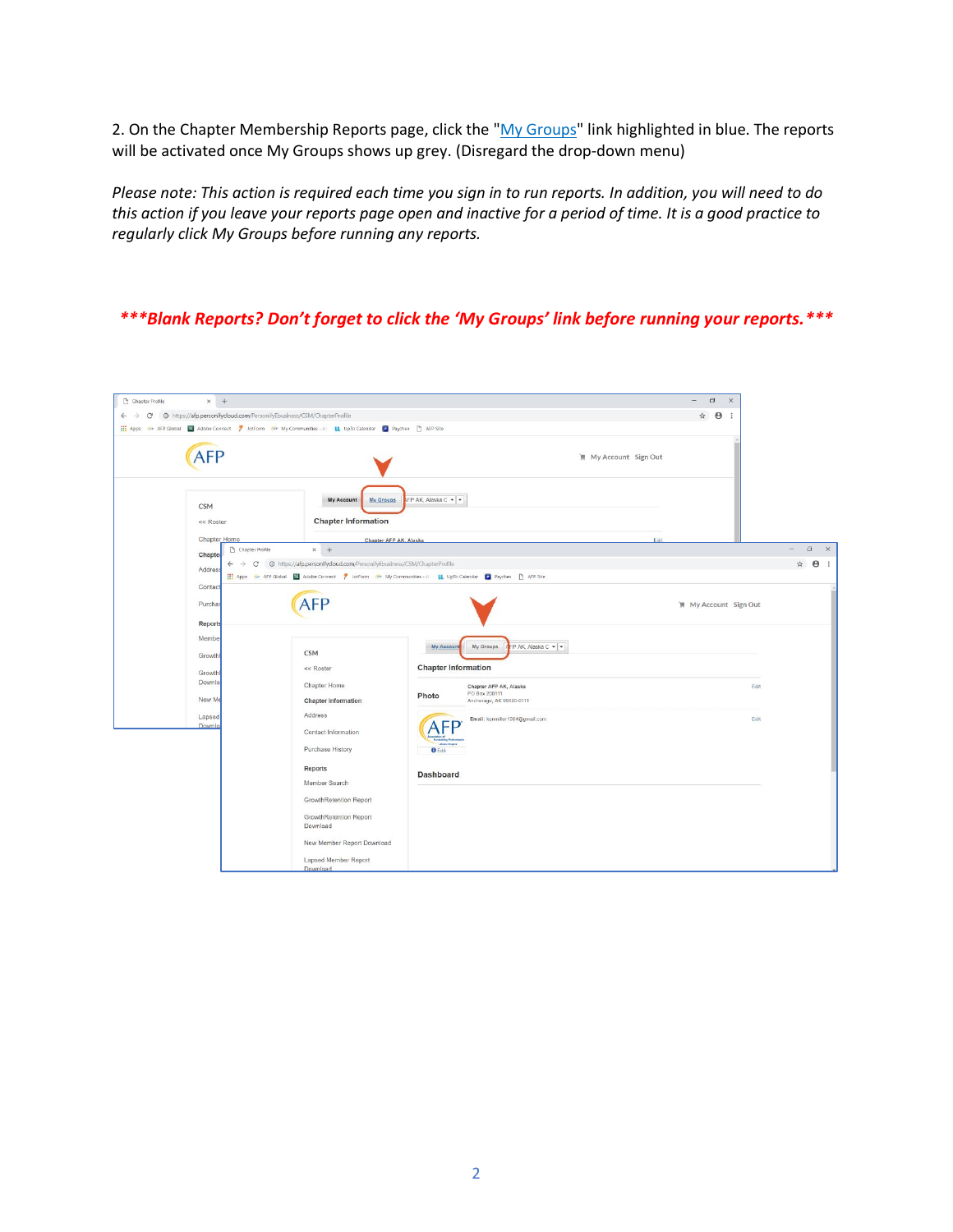2. On the Chapter Membership Reports page, click the "My Groups" link highlighted in blue. The reports will be activated once My Groups shows up grey. (Disregard the drop-down menu)

*Please note: This action is required each time you sign in to run reports. In addition, you will need to do this action if you leave your reports page open and inactive for a period of time. It is a good practice to regularly click My Groups before running any reports.*

## *\*\*\*Blank Reports? Don't forget to click the 'My Groups' link before running your reports.\*\*\**

| Chapter Profile | $\times$ +                                                                                                           |                                                                                                                           |                            |                                         |                               | $\Box$<br>$\times$  |                              |
|-----------------|----------------------------------------------------------------------------------------------------------------------|---------------------------------------------------------------------------------------------------------------------------|----------------------------|-----------------------------------------|-------------------------------|---------------------|------------------------------|
|                 | $\leftarrow$ $\rightarrow$ $\mathbb{C}$ $\circ$ bttps://afp.personifycloud.com/PersonifyEbusiness/CSM/ChapterProfile |                                                                                                                           |                            |                                         |                               | ☆ ● :               |                              |
|                 |                                                                                                                      | Apps Air AFP Global <b>EX</b> Adobe Connect / JotForm Air My Communities - Al UpTo Calendar <b>C</b> Paychex. [3 AFP Site |                            |                                         |                               |                     |                              |
|                 | <b>AFP</b>                                                                                                           |                                                                                                                           |                            |                                         | <b>II</b> My Account Sign Out |                     |                              |
|                 | <b>CSM</b><br><< Roster                                                                                              | My Groups<br>My Account<br><b>Chapter Information</b>                                                                     | NFP AK, Alaska C ▼   ▼     |                                         |                               |                     |                              |
|                 | Chapter Home                                                                                                         | Chapter AFP AK, Alaska                                                                                                    |                            |                                         | Edit                          |                     |                              |
|                 | Chapter Profile<br>Chapter                                                                                           | $x +$                                                                                                                     |                            |                                         |                               |                     | $\sim$<br>$\Box$<br>$\times$ |
|                 | $\leftarrow$<br><b>Address</b>                                                                                       |                                                                                                                           |                            |                                         |                               |                     | ☆ ● :                        |
|                 |                                                                                                                      | Apps Wr AFP Global El Adobe Connect 7 JotForm Wr My Communities - Al LL UpTo Calendar C Paychex [3] AFP Site              |                            |                                         |                               |                     |                              |
|                 | Contact<br>Purchas                                                                                                   |                                                                                                                           |                            |                                         |                               | My Account Sign Out |                              |
|                 | Reports                                                                                                              |                                                                                                                           |                            |                                         |                               |                     |                              |
|                 | Member                                                                                                               | <b>CSM</b>                                                                                                                | My Account                 | My Groups<br>FP AK, Alaska C v v        |                               |                     |                              |
|                 | Growthi                                                                                                              | << Roster                                                                                                                 | <b>Chapter Information</b> |                                         |                               |                     |                              |
|                 | Growthi<br>Downlo:                                                                                                   | Chapter Home                                                                                                              | Photo                      | Chapter AFP AK, Alaska<br>PO Box 200111 |                               | Edit                |                              |
|                 | New Me                                                                                                               | Chapter Information                                                                                                       |                            | Anchorage, AK 99520-0111                |                               |                     |                              |
|                 | Lapsed<br>Downlo:                                                                                                    | Address<br>Contact Information                                                                                            |                            | Email: kenmiller1984@gmail.com          |                               | Edit                |                              |
|                 |                                                                                                                      | Purchase History                                                                                                          | <b>O</b> Edit              |                                         |                               |                     |                              |
|                 |                                                                                                                      | Reports                                                                                                                   | <b>Dashboard</b>           |                                         |                               |                     |                              |
|                 |                                                                                                                      | Member Search                                                                                                             |                            |                                         |                               |                     |                              |
|                 |                                                                                                                      | GrowthRetention Report                                                                                                    |                            |                                         |                               |                     |                              |
|                 |                                                                                                                      | GrowthRetention Report<br>Download                                                                                        |                            |                                         |                               |                     |                              |
|                 |                                                                                                                      | New Member Report Download                                                                                                |                            |                                         |                               |                     |                              |
|                 |                                                                                                                      | Lapsed Member Report<br>Download                                                                                          |                            |                                         |                               |                     |                              |